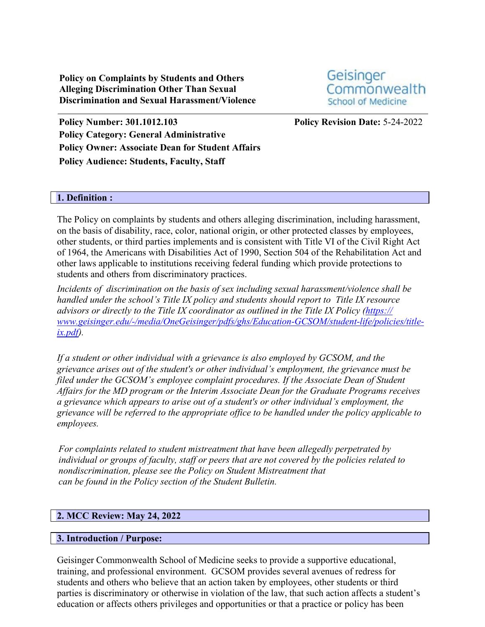**Policy on Complaints by Students and Others Alleging Discrimination Other Than Sexual Discrimination and Sexual Harassment/Violence** Geisinger Commonwealth **School of Medicine** 

**Policy Number: 301.1012.103 Policy Revision Date:** 5-24-2022 **Policy Category: General Administrative Policy Owner: Associate Dean for Student Affairs Policy Audience: Students, Faculty, Staff**

#### **1. Definition :**

The Policy on complaints by students and others alleging discrimination, including harassment, on the basis of disability, race, color, national origin, or other protected classes by employees, other students, or third parties implements and is consistent with Title VI of the Civil Right Act of 1964, the Americans with Disabilities Act of 1990, Section 504 of the Rehabilitation Act and other laws applicable to institutions receiving federal funding which provide protections to students and others from discriminatory practices.

*Incidents of discrimination on the basis of sex including sexual harassment/violence shall be handled under the school's Title IX policy and students should report to Title IX [resource](https://www.geisinger.edu/-/media/OneGeisinger/pdfs/ghs/Education-GCSOM/student-life/policies/title-ix.pdf)  [advisors or directly to the Title IX coordinator as outlined in the Title IX Policy \(https://](https://www.geisinger.edu/-/media/OneGeisinger/pdfs/ghs/Education-GCSOM/student-life/policies/title-ix.pdf) [www.geisinger.edu/-/media/OneGeisinger/pdfs/ghs/Education-GCSOM/student-life/policies/title](https://www.geisinger.edu/-/media/OneGeisinger/pdfs/ghs/Education-GCSOM/student-life/policies/title-ix.pdf)[ix.pdf\).](https://www.geisinger.edu/-/media/OneGeisinger/pdfs/ghs/Education-GCSOM/student-life/policies/title-ix.pdf)*

*If a student or other individual with a grievance is also employed by GCSOM, and the grievance arises out of the student's or other individual's employment, the grievance must be filed under the GCSOM's employee complaint procedures. If the Associate Dean of Student Affairs for the MD program or the Interim Associate Dean for the Graduate Programs receives a grievance which appears to arise out of a student's or other individual's employment, the grievance will be referred to the appropriate office to be handled under the policy applicable to employees.*

*For complaints related to student mistreatment that have been allegedly perpetrated by individual or groups of faculty, staff or peers that are not covered by the policies related to nondiscrimination, please see the Policy on Student Mistreatment that can be found in the Policy section of the Student Bulletin.*

#### **2. MCC Review: May 24, 2022**

#### **3. Introduction / Purpose:**

Geisinger Commonwealth School of Medicine seeks to provide a supportive educational, training, and professional environment. GCSOM provides several avenues of redress for students and others who believe that an action taken by employees, other students or third parties is discriminatory or otherwise in violation of the law, that such action affects a student's education or affects others privileges and opportunities or that a practice or policy has been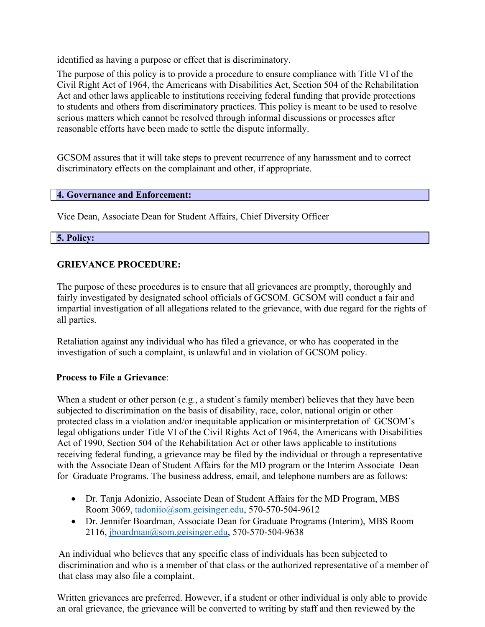identified as having a purpose or effect that is discriminatory.

The purpose of this policy is to provide a procedure to ensure compliance with Title VI of the Civil Right Act of 1964, the Americans with Disabilities Act, Section 504 of the Rehabilitation Act and other laws applicable to institutions receiving federal funding that provide protections to students and others from discriminatory practices. This policy is meant to be used to resolve serious matters which cannot be resolved through informal discussions or processes after reasonable efforts have been made to settle the dispute informally.

GCSOM assures that it will take steps to prevent recurrence of any harassment and to correct discriminatory effects on the complainant and other, if appropriate.

## **4. Governance and Enforcement:**

Vice Dean, Associate Dean for Student Affairs, Chief Diversity Officer

#### **5. Policy:**

## **GRIEVANCE PROCEDURE:**

The purpose of these procedures is to ensure that all grievances are promptly, thoroughly and fairly investigated by designated school officials of GCSOM. GCSOM will conduct a fair and impartial investigation of all allegations related to the grievance, with due regard for the rights of all parties.

Retaliation against any individual who has filed a grievance, or who has cooperated in the investigation of such a complaint, is unlawful and in violation of GCSOM policy.

## **Process to File a Grievance**:

When a student or other person (e.g., a student's family member) believes that they have been subjected to discrimination on the basis of disability, race, color, national origin or other protected class in a violation and/or inequitable application or misinterpretation of GCSOM's legal obligations under Title VI of the Civil Rights Act of 1964, the Americans with Disabilities Act of 1990, Section 504 of the Rehabilitation Act or other laws applicable to institutions receiving federal funding, a grievance may be filed by the individual or through a representative with the Associate Dean of Student Affairs for the MD program or the Interim Associate Dean for Graduate Programs. The business address, email, and telephone numbers are as follows:

- Dr. Tanja Adonizio, Associate Dean of Student Affairs for the MD Program, MBS Room 3069, [tadoniio@som.geisinger.edu,](mailto:tadoniio@som.geisinger.edu) 570-570-504-9612
- Dr. Jennifer Boardman, Associate Dean for Graduate Programs (Interim), MBS Room 2116, [jboardman@som.geisinger.edu,](mailto:jboardman@som.geisinger.edu) 570-570-504-9638

 An individual who believes that any specific class of individuals has been subjected to discrimination and who is a member of that class or the authorized representative of a member of that class may also file a complaint.

Written grievances are preferred. However, if a student or other individual is only able to provide an oral grievance, the grievance will be converted to writing by staff and then reviewed by the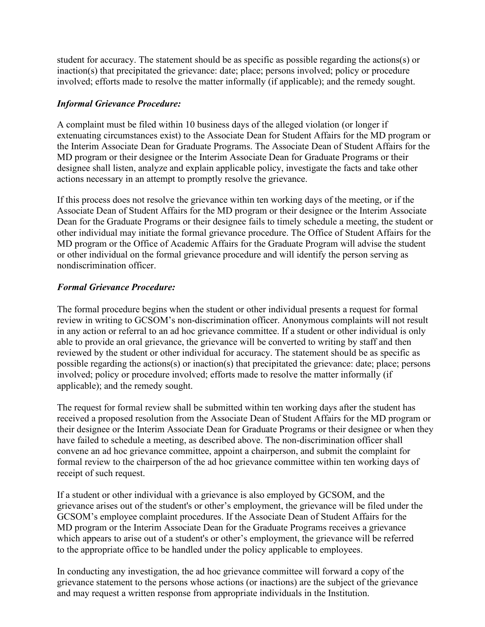student for accuracy. The statement should be as specific as possible regarding the actions(s) or inaction(s) that precipitated the grievance: date; place; persons involved; policy or procedure involved; efforts made to resolve the matter informally (if applicable); and the remedy sought.

## *Informal Grievance Procedure:*

A complaint must be filed within 10 business days of the alleged violation (or longer if extenuating circumstances exist) to the Associate Dean for Student Affairs for the MD program or the Interim Associate Dean for Graduate Programs. The Associate Dean of Student Affairs for the MD program or their designee or the Interim Associate Dean for Graduate Programs or their designee shall listen, analyze and explain applicable policy, investigate the facts and take other actions necessary in an attempt to promptly resolve the grievance.

If this process does not resolve the grievance within ten working days of the meeting, or if the Associate Dean of Student Affairs for the MD program or their designee or the Interim Associate Dean for the Graduate Programs or their designee fails to timely schedule a meeting, the student or other individual may initiate the formal grievance procedure. The Office of Student Affairs for the MD program or the Office of Academic Affairs for the Graduate Program will advise the student or other individual on the formal grievance procedure and will identify the person serving as nondiscrimination officer.

# *Formal Grievance Procedure:*

The formal procedure begins when the student or other individual presents a request for formal review in writing to GCSOM's non-discrimination officer. Anonymous complaints will not result in any action or referral to an ad hoc grievance committee. If a student or other individual is only able to provide an oral grievance, the grievance will be converted to writing by staff and then reviewed by the student or other individual for accuracy. The statement should be as specific as possible regarding the actions(s) or inaction(s) that precipitated the grievance: date; place; persons involved; policy or procedure involved; efforts made to resolve the matter informally (if applicable); and the remedy sought.

The request for formal review shall be submitted within ten working days after the student has received a proposed resolution from the Associate Dean of Student Affairs for the MD program or their designee or the Interim Associate Dean for Graduate Programs or their designee or when they have failed to schedule a meeting, as described above. The non-discrimination officer shall convene an ad hoc grievance committee, appoint a chairperson, and submit the complaint for formal review to the chairperson of the ad hoc grievance committee within ten working days of receipt of such request.

If a student or other individual with a grievance is also employed by GCSOM, and the grievance arises out of the student's or other's employment, the grievance will be filed under the GCSOM's employee complaint procedures. If the Associate Dean of Student Affairs for the MD program or the Interim Associate Dean for the Graduate Programs receives a grievance which appears to arise out of a student's or other's employment, the grievance will be referred to the appropriate office to be handled under the policy applicable to employees.

In conducting any investigation, the ad hoc grievance committee will forward a copy of the grievance statement to the persons whose actions (or inactions) are the subject of the grievance and may request a written response from appropriate individuals in the Institution.